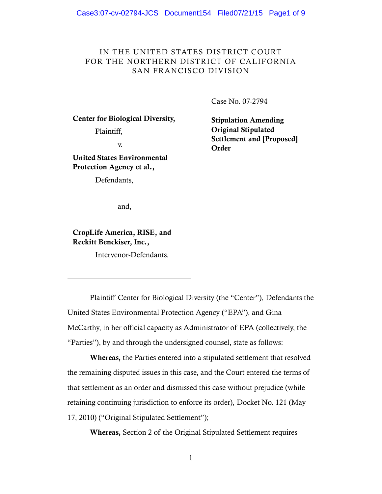# IN THE UNITED STATES DISTRICT COURT FOR THE NORTHERN DISTRICT OF CALIFORNIA SAN FRANCISCO DIVISION

 **Center for Biological Diversity,** 

Plaintiff,

v.

 **United States Environmental Protection Agency et al.,** 

Defendants,

and,

 **CropLife America, RISE, and Reckitt Benckiser, Inc.,** 

Intervenor-Defendants.

Case No. 07-2794

 **Stipulation Amending Settlement and [Proposed] Original Stipulated Order** 

 Plaintiff Center for Biological Diversity (the "Center"), Defendants the United States Environmental Protection Agency ("EPA"), and Gina McCarthy, in her official capacity as Administrator of EPA (collectively, the "Parties"), by and through the undersigned counsel, state as follows:

 **Whereas,** the Parties entered into a stipulated settlement that resolved the remaining disputed issues in this case, and the Court entered the terms of that settlement as an order and dismissed this case without prejudice (while retaining continuing jurisdiction to enforce its order), Docket No. 121 (May 17, 2010) ("Original Stipulated Settlement");

**Whereas,** Section 2 of the Original Stipulated Settlement requires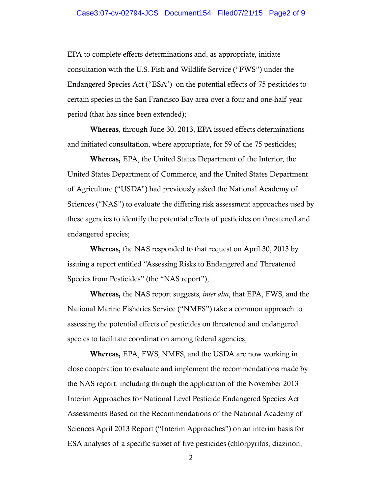## Case3:07-cv-02794-JCS Document154 Filed07/21/15 Page2 of 9

 EPA to complete effects determinations and, as appropriate, initiate consultation with the U.S. Fish and Wildlife Service ("FWS") under the Endangered Species Act ("ESA") on the potential effects of 75 pesticides to certain species in the San Francisco Bay area over a four and one-half year period (that has since been extended);

 **Whereas**, through June 30, 2013, EPA issued effects determinations and initiated consultation, where appropriate, for 59 of the 75 pesticides;

 United States Department of Commerce, and the United States Department of Agriculture ("USDA") had previously asked the National Academy of Sciences ("NAS") to evaluate the differing risk assessment approaches used by these agencies to identify the potential effects of pesticides on threatened and **Whereas,** EPA, the United States Department of the Interior, the endangered species;

 **Whereas,** the NAS responded to that request on April 30, 2013 by issuing a report entitled "Assessing Risks to Endangered and Threatened Species from Pesticides" (the "NAS report");

 **Whereas,** the NAS report suggests, *inter alia*, that EPA, FWS, and the National Marine Fisheries Service ("NMFS") take a common approach to assessing the potential effects of pesticides on threatened and endangered species to facilitate coordination among federal agencies;

 close cooperation to evaluate and implement the recommendations made by the NAS report, including through the application of the November 2013 Interim Approaches for National Level Pesticide Endangered Species Act Assessments Based on the Recommendations of the National Academy of Sciences April 2013 Report ("Interim Approaches") on an interim basis for ESA analyses of a specific subset of five pesticides (chlorpyrifos, diazinon, **Whereas,** EPA, FWS, NMFS, and the USDA are now working in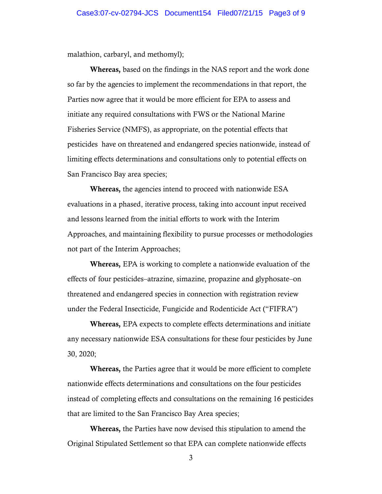malathion, carbaryl, and methomyl);

 **Whereas,** based on the findings in the NAS report and the work done so far by the agencies to implement the recommendations in that report, the Parties now agree that it would be more efficient for EPA to assess and initiate any required consultations with FWS or the National Marine Fisheries Service (NMFS), as appropriate, on the potential effects that pesticides have on threatened and endangered species nationwide, instead of limiting effects determinations and consultations only to potential effects on San Francisco Bay area species;

 **Whereas,** the agencies intend to proceed with nationwide ESA evaluations in a phased, iterative process, taking into account input received and lessons learned from the initial efforts to work with the Interim Approaches, and maintaining flexibility to pursue processes or methodologies not part of the Interim Approaches;

 **Whereas,** EPA is working to complete a nationwide evaluation of the effects of four pesticides–atrazine, simazine, propazine and glyphosate–on threatened and endangered species in connection with registration review under the Federal Insecticide, Fungicide and Rodenticide Act ("FIFRA")

 **Whereas,** EPA expects to complete effects determinations and initiate any necessary nationwide ESA consultations for these four pesticides by June 30, 2020;

 **Whereas,** the Parties agree that it would be more efficient to complete nationwide effects determinations and consultations on the four pesticides instead of completing effects and consultations on the remaining 16 pesticides that are limited to the San Francisco Bay Area species;

 **Whereas,** the Parties have now devised this stipulation to amend the Original Stipulated Settlement so that EPA can complete nationwide effects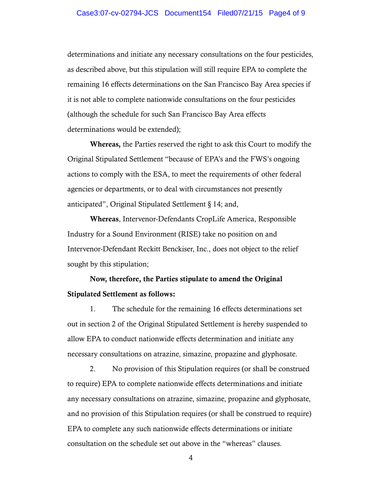determinations and initiate any necessary consultations on the four pesticides, as described above, but this stipulation will still require EPA to complete the remaining 16 effects determinations on the San Francisco Bay Area species if it is not able to complete nationwide consultations on the four pesticides (although the schedule for such San Francisco Bay Area effects determinations would be extended);

 **Whereas,** the Parties reserved the right to ask this Court to modify the Original Stipulated Settlement "because of EPA's and the FWS's ongoing actions to comply with the ESA, to meet the requirements of other federal agencies or departments, or to deal with circumstances not presently anticipated", Original Stipulated Settlement § 14; and,

 Industry for a Sound Environment (RISE) take no position on and Intervenor-Defendant Reckitt Benckiser, Inc., does not object to the relief **Whereas**, Intervenor-Defendants CropLife America, Responsible sought by this stipulation;

# **Now, therefore, the Parties stipulate to amend the Original Stipulated Settlement as follows:**

 out in section 2 of the Original Stipulated Settlement is hereby suspended to allow EPA to conduct nationwide effects determination and initiate any necessary consultations on atrazine, simazine, propazine and glyphosate. 1. The schedule for the remaining 16 effects determinations set

 and no provision of this Stipulation requires (or shall be construed to require) EPA to complete any such nationwide effects determinations or initiate consultation on the schedule set out above in the "whereas" clauses. 2. No provision of this Stipulation requires (or shall be construed to require) EPA to complete nationwide effects determinations and initiate any necessary consultations on atrazine, simazine, propazine and glyphosate,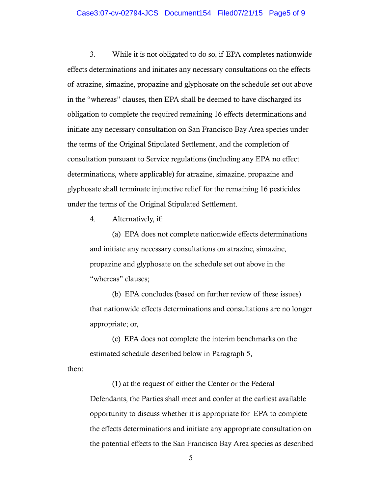#### Case3:07-cv-02794-JCS Document154 Filed07/21/15 Page5 of 9

3. effects determinations and initiates any necessary consultations on the effects of atrazine, simazine, propazine and glyphosate on the schedule set out above in the "whereas" clauses, then EPA shall be deemed to have discharged its obligation to complete the required remaining 16 effects determinations and initiate any necessary consultation on San Francisco Bay Area species under the terms of the Original Stipulated Settlement, and the completion of consultation pursuant to Service regulations (including any EPA no effect glyphosate shall terminate injunctive relief for the remaining 16 pesticides under the terms of the Original Stipulated Settlement. While it is not obligated to do so, if EPA completes nationwide determinations, where applicable) for atrazine, simazine, propazine and

4. Alternatively, if:

 and initiate any necessary consultations on atrazine, simazine, propazine and glyphosate on the schedule set out above in the "whereas" clauses; (a) EPA does not complete nationwide effects determinations

(b) EPA concludes (based on further review of these issues) that nationwide effects determinations and consultations are no longer appropriate; or,

 estimated schedule described below in Paragraph 5, (c) EPA does not complete the interim benchmarks on the

then:

 Defendants, the Parties shall meet and confer at the earliest available opportunity to discuss whether it is appropriate for EPA to complete the effects determinations and initiate any appropriate consultation on the potential effects to the San Francisco Bay Area species as described (1) at the request of either the Center or the Federal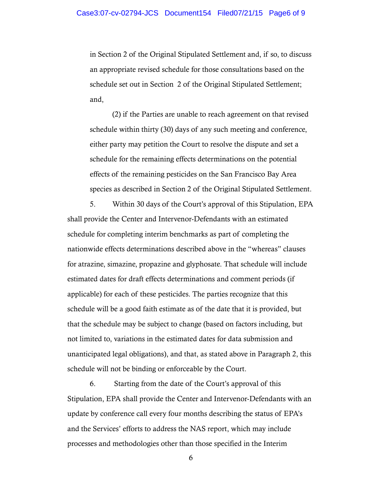in Section 2 of the Original Stipulated Settlement and, if so, to discuss an appropriate revised schedule for those consultations based on the schedule set out in Section 2 of the Original Stipulated Settlement; and,

 schedule within thirty (30) days of any such meeting and conference, either party may petition the Court to resolve the dispute and set a schedule for the remaining effects determinations on the potential effects of the remaining pesticides on the San Francisco Bay Area species as described in Section 2 of the Original Stipulated Settlement. (2) if the Parties are unable to reach agreement on that revised

 shall provide the Center and Intervenor-Defendants with an estimated schedule for completing interim benchmarks as part of completing the nationwide effects determinations described above in the "whereas" clauses for atrazine, simazine, propazine and glyphosate. That schedule will include estimated dates for draft effects determinations and comment periods (if applicable) for each of these pesticides. The parties recognize that this schedule will be a good faith estimate as of the date that it is provided, but that the schedule may be subject to change (based on factors including, but not limited to, variations in the estimated dates for data submission and unanticipated legal obligations), and that, as stated above in Paragraph 2, this schedule will not be binding or enforceable by the Court. 5. Within 30 days of the Court's approval of this Stipulation, EPA

 Stipulation, EPA shall provide the Center and Intervenor-Defendants with an update by conference call every four months describing the status of EPA's and the Services' efforts to address the NAS report, which may include processes and methodologies other than those specified in the Interim 6. Starting from the date of the Court's approval of this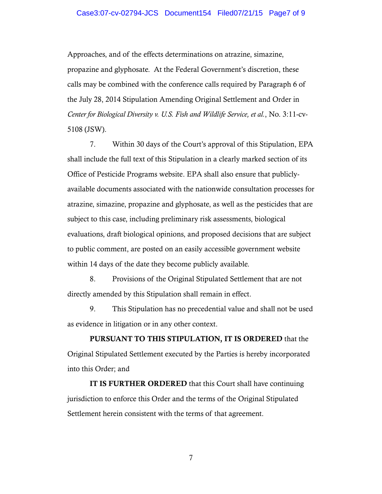## Case3:07-cv-02794-JCS Document154 Filed07/21/15 Page7 of 9

 Approaches, and of the effects determinations on atrazine, simazine, propazine and glyphosate. At the Federal Government's discretion, these calls may be combined with the conference calls required by Paragraph 6 of the July 28, 2014 Stipulation Amending Original Settlement and Order in  *Center for Biological Diversity v. U.S. Fish and Wildlife Service, et al.*, No. 3:11-cv-5108 (JSW).

 shall include the full text of this Stipulation in a clearly marked section of its Office of Pesticide Programs website. EPA shall also ensure that publicly- available documents associated with the nationwide consultation processes for atrazine, simazine, propazine and glyphosate, as well as the pesticides that are subject to this case, including preliminary risk assessments, biological evaluations, draft biological opinions, and proposed decisions that are subject to public comment, are posted on an easily accessible government website within 14 days of the date they become publicly available. 7. Within 30 days of the Court's approval of this Stipulation, EPA

 8. Provisions of the Original Stipulated Settlement that are not directly amended by this Stipulation shall remain in effect.

 as evidence in litigation or in any other context. 9. This Stipulation has no precedential value and shall not be used

 **PURSUANT TO THIS STIPULATION, IT IS ORDERED** that the Original Stipulated Settlement executed by the Parties is hereby incorporated into this Order; and

 jurisdiction to enforce this Order and the terms of the Original Stipulated Settlement herein consistent with the terms of that agreement. **IT IS FURTHER ORDERED** that this Court shall have continuing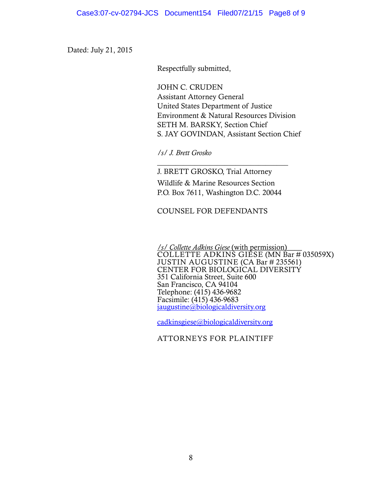Dated: July 21, 2015

Respectfully submitted,

 JOHN C. CRUDEN United States Department of Justice Environment & Natural Resources Division S. JAY GOVINDAN, Assistant Section Chief Assistant Attorney General SETH M. BARSKY, Section Chief

*/s/ J. Brett Grosko* 

 J. BRETT GROSKO, Trial Attorney Wildlife & Marine Resources Section P.O. Box 7611, Washington D.C. 20044

 $\overline{\phantom{a}}$  , where  $\overline{\phantom{a}}$  , where  $\overline{\phantom{a}}$  ,  $\overline{\phantom{a}}$  ,  $\overline{\phantom{a}}$  ,  $\overline{\phantom{a}}$  ,  $\overline{\phantom{a}}$  ,  $\overline{\phantom{a}}$  ,  $\overline{\phantom{a}}$  ,  $\overline{\phantom{a}}$  ,  $\overline{\phantom{a}}$  ,  $\overline{\phantom{a}}$  ,  $\overline{\phantom{a}}$  ,  $\overline{\phantom{a}}$  ,  $\overline{\phantom{a}}$  ,

COUNSEL FOR DEFENDANTS

 */s/ Collette Adkins Giese* (with permission)**\_\_\_\_** COLLETTE ADKINS GIESE (MN Bar # 035059X) JUSTIN AUGUSTINE (CA Bar # 235561) San Francisco, CA 94104 CENTER FOR BIOLOGICAL DIVERSITY 351 California Street, Suite 600 Telephone: (415) 436-9682 Facsimile: (415) 436-9683 [jaugustine@biologicaldiversity.org](mailto:jaugustine@biologicaldiversity.org) 

[cadkinsgiese@biologicaldiversity.org](mailto:cadkinsgiese@biologicaldiversity.org) 

ATTORNEYS FOR PLAINTIFF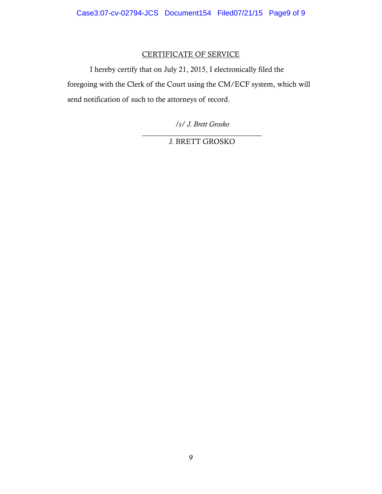# CERTIFICATE OF SERVICE

 I hereby certify that on July 21, 2015, I electronically filed the foregoing with the Clerk of the Court using the CM/ECF system, which will send notification of such to the attorneys of record.

*/s/ J. Brett Grosko* 

 $\overline{\phantom{a}}$  , where  $\overline{\phantom{a}}$  , where  $\overline{\phantom{a}}$  ,  $\overline{\phantom{a}}$  ,  $\overline{\phantom{a}}$  ,  $\overline{\phantom{a}}$  ,  $\overline{\phantom{a}}$  ,  $\overline{\phantom{a}}$  ,  $\overline{\phantom{a}}$  ,  $\overline{\phantom{a}}$  ,  $\overline{\phantom{a}}$  ,  $\overline{\phantom{a}}$  ,  $\overline{\phantom{a}}$  ,  $\overline{\phantom{a}}$  ,  $\overline{\phantom{a}}$  , J. BRETT GROSKO